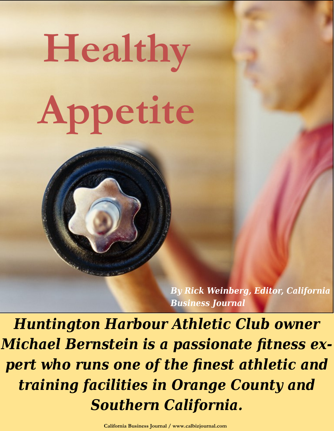## **Healthy Appetite**

*By Rick Weinberg, Editor, California Business Journal*

*Huntington Harbour Athletic Club owner Michael Bernstein is a passionate fitness expert who runs one of the finest athletic and training facilities in Orange County and Southern California.*

**California Business Journal / www.calbizjournal.com**